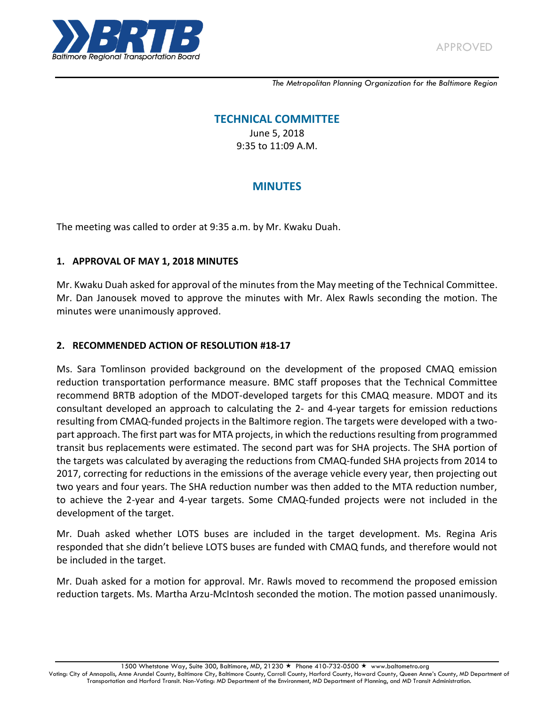

*The Metropolitan Planning Organization for the Baltimore Region*

# **TECHNICAL COMMITTEE**

June 5, 2018 9:35 to 11:09 A.M.

# **MINUTES**

The meeting was called to order at 9:35 a.m. by Mr. Kwaku Duah.

#### **1. APPROVAL OF MAY 1, 2018 MINUTES**

Mr. Kwaku Duah asked for approval of the minutes from the May meeting of the Technical Committee. Mr. Dan Janousek moved to approve the minutes with Mr. Alex Rawls seconding the motion. The minutes were unanimously approved.

#### **2. RECOMMENDED ACTION OF RESOLUTION #18-17**

Ms. Sara Tomlinson provided background on the development of the proposed CMAQ emission reduction transportation performance measure. BMC staff proposes that the Technical Committee recommend BRTB adoption of the MDOT-developed targets for this CMAQ measure. MDOT and its consultant developed an approach to calculating the 2- and 4-year targets for emission reductions resulting from CMAQ-funded projects in the Baltimore region. The targets were developed with a twopart approach. The first part was for MTA projects, in which the reductions resulting from programmed transit bus replacements were estimated. The second part was for SHA projects. The SHA portion of the targets was calculated by averaging the reductions from CMAQ-funded SHA projects from 2014 to 2017, correcting for reductions in the emissions of the average vehicle every year, then projecting out two years and four years. The SHA reduction number was then added to the MTA reduction number, to achieve the 2-year and 4-year targets. Some CMAQ-funded projects were not included in the development of the target.

Mr. Duah asked whether LOTS buses are included in the target development. Ms. Regina Aris responded that she didn't believe LOTS buses are funded with CMAQ funds, and therefore would not be included in the target.

Mr. Duah asked for a motion for approval. Mr. Rawls moved to recommend the proposed emission reduction targets. Ms. Martha Arzu-McIntosh seconded the motion. The motion passed unanimously.

1500 Whetstone Way, Suite 300, Baltimore, MD, 21230 ★ Phone 410-732-0500 ★ www.baltometro.org

Voting: City of Annapolis, Anne Arundel County, Baltimore City, Baltimore County, Carroll County, Harford County, Howard County, Queen Anne's County, MD Department of Transportation and Harford Transit. Non-Voting: MD Department of the Environment, MD Department of Planning, and MD Transit Administration.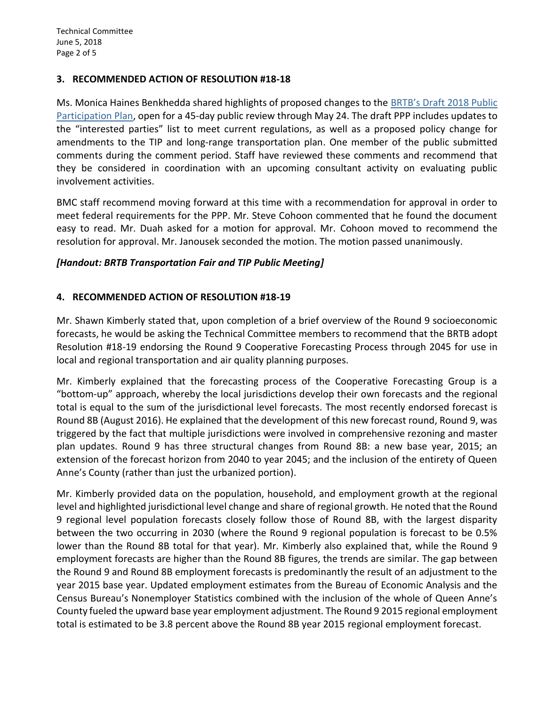#### **3. RECOMMENDED ACTION OF RESOLUTION #18-18**

Ms. Monica Haines Benkhedda shared highlights of proposed changes to the [BRTB's Draft 2018 Public](https://baltometro.org/be-involved/brtb-seeks-public-comments-on-draft-public-participation-plan)  [Participation Plan,](https://baltometro.org/be-involved/brtb-seeks-public-comments-on-draft-public-participation-plan) open for a 45-day public review through May 24. The draft PPP includes updates to the "interested parties" list to meet current regulations, as well as a proposed policy change for amendments to the TIP and long-range transportation plan. One member of the public submitted comments during the comment period. Staff have reviewed these comments and recommend that they be considered in coordination with an upcoming consultant activity on evaluating public involvement activities.

BMC staff recommend moving forward at this time with a recommendation for approval in order to meet federal requirements for the PPP. Mr. Steve Cohoon commented that he found the document easy to read. Mr. Duah asked for a motion for approval. Mr. Cohoon moved to recommend the resolution for approval. Mr. Janousek seconded the motion. The motion passed unanimously.

#### *[Handout: BRTB Transportation Fair and TIP Public Meeting]*

#### **4. RECOMMENDED ACTION OF RESOLUTION #18-19**

Mr. Shawn Kimberly stated that, upon completion of a brief overview of the Round 9 socioeconomic forecasts, he would be asking the Technical Committee members to recommend that the BRTB adopt Resolution #18-19 endorsing the Round 9 Cooperative Forecasting Process through 2045 for use in local and regional transportation and air quality planning purposes.

Mr. Kimberly explained that the forecasting process of the Cooperative Forecasting Group is a "bottom-up" approach, whereby the local jurisdictions develop their own forecasts and the regional total is equal to the sum of the jurisdictional level forecasts. The most recently endorsed forecast is Round 8B (August 2016). He explained that the development of this new forecast round, Round 9, was triggered by the fact that multiple jurisdictions were involved in comprehensive rezoning and master plan updates. Round 9 has three structural changes from Round 8B: a new base year, 2015; an extension of the forecast horizon from 2040 to year 2045; and the inclusion of the entirety of Queen Anne's County (rather than just the urbanized portion).

Mr. Kimberly provided data on the population, household, and employment growth at the regional level and highlighted jurisdictional level change and share of regional growth. He noted that the Round 9 regional level population forecasts closely follow those of Round 8B, with the largest disparity between the two occurring in 2030 (where the Round 9 regional population is forecast to be 0.5% lower than the Round 8B total for that year). Mr. Kimberly also explained that, while the Round 9 employment forecasts are higher than the Round 8B figures, the trends are similar. The gap between the Round 9 and Round 8B employment forecasts is predominantly the result of an adjustment to the year 2015 base year. Updated employment estimates from the Bureau of Economic Analysis and the Census Bureau's Nonemployer Statistics combined with the inclusion of the whole of Queen Anne's County fueled the upward base year employment adjustment. The Round 9 2015 regional employment total is estimated to be 3.8 percent above the Round 8B year 2015 regional employment forecast.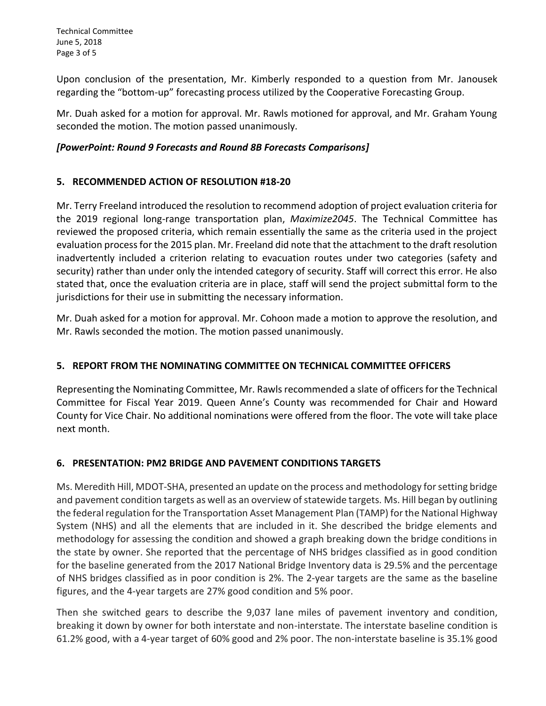Technical Committee June 5, 2018 Page 3 of 5

Upon conclusion of the presentation, Mr. Kimberly responded to a question from Mr. Janousek regarding the "bottom-up" forecasting process utilized by the Cooperative Forecasting Group.

Mr. Duah asked for a motion for approval. Mr. Rawls motioned for approval, and Mr. Graham Young seconded the motion. The motion passed unanimously.

#### *[PowerPoint: Round 9 Forecasts and Round 8B Forecasts Comparisons]*

# **5. RECOMMENDED ACTION OF RESOLUTION #18-20**

Mr. Terry Freeland introduced the resolution to recommend adoption of project evaluation criteria for the 2019 regional long-range transportation plan, *Maximize2045*. The Technical Committee has reviewed the proposed criteria, which remain essentially the same as the criteria used in the project evaluation process for the 2015 plan. Mr. Freeland did note that the attachment to the draft resolution inadvertently included a criterion relating to evacuation routes under two categories (safety and security) rather than under only the intended category of security. Staff will correct this error. He also stated that, once the evaluation criteria are in place, staff will send the project submittal form to the jurisdictions for their use in submitting the necessary information.

Mr. Duah asked for a motion for approval. Mr. Cohoon made a motion to approve the resolution, and Mr. Rawls seconded the motion. The motion passed unanimously.

# **5. REPORT FROM THE NOMINATING COMMITTEE ON TECHNICAL COMMITTEE OFFICERS**

Representing the Nominating Committee, Mr. Rawls recommended a slate of officers for the Technical Committee for Fiscal Year 2019. Queen Anne's County was recommended for Chair and Howard County for Vice Chair. No additional nominations were offered from the floor. The vote will take place next month.

# **6. PRESENTATION: PM2 BRIDGE AND PAVEMENT CONDITIONS TARGETS**

Ms. Meredith Hill, MDOT-SHA, presented an update on the process and methodology for setting bridge and pavement condition targets as well as an overview of statewide targets. Ms. Hill began by outlining the federal regulation for the Transportation Asset Management Plan (TAMP) for the National Highway System (NHS) and all the elements that are included in it. She described the bridge elements and methodology for assessing the condition and showed a graph breaking down the bridge conditions in the state by owner. She reported that the percentage of NHS bridges classified as in good condition for the baseline generated from the 2017 National Bridge Inventory data is 29.5% and the percentage of NHS bridges classified as in poor condition is 2%. The 2-year targets are the same as the baseline figures, and the 4-year targets are 27% good condition and 5% poor.

Then she switched gears to describe the 9,037 lane miles of pavement inventory and condition, breaking it down by owner for both interstate and non-interstate. The interstate baseline condition is 61.2% good, with a 4-year target of 60% good and 2% poor. The non-interstate baseline is 35.1% good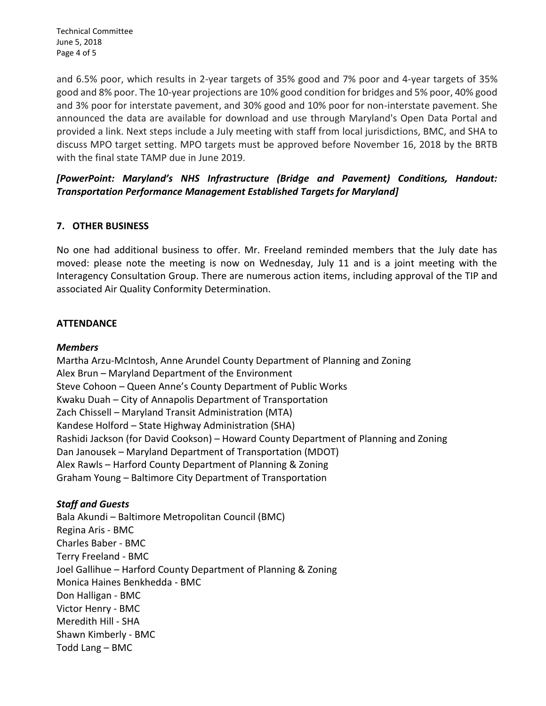Technical Committee June 5, 2018 Page 4 of 5

and 6.5% poor, which results in 2-year targets of 35% good and 7% poor and 4-year targets of 35% good and 8% poor. The 10-year projections are 10% good condition for bridges and 5% poor, 40% good and 3% poor for interstate pavement, and 30% good and 10% poor for non-interstate pavement. She announced the data are available for download and use through Maryland's Open Data Portal and provided a link. Next steps include a July meeting with staff from local jurisdictions, BMC, and SHA to discuss MPO target setting. MPO targets must be approved before November 16, 2018 by the BRTB with the final state TAMP due in June 2019.

# *[PowerPoint: Maryland's NHS Infrastructure (Bridge and Pavement) Conditions, Handout: Transportation Performance Management Established Targets for Maryland]*

# **7. OTHER BUSINESS**

No one had additional business to offer. Mr. Freeland reminded members that the July date has moved: please note the meeting is now on Wednesday, July 11 and is a joint meeting with the Interagency Consultation Group. There are numerous action items, including approval of the TIP and associated Air Quality Conformity Determination.

# **ATTENDANCE**

#### *Members*

Martha Arzu-McIntosh, Anne Arundel County Department of Planning and Zoning Alex Brun – Maryland Department of the Environment Steve Cohoon – Queen Anne's County Department of Public Works Kwaku Duah – City of Annapolis Department of Transportation Zach Chissell – Maryland Transit Administration (MTA) Kandese Holford – State Highway Administration (SHA) Rashidi Jackson (for David Cookson) – Howard County Department of Planning and Zoning Dan Janousek – Maryland Department of Transportation (MDOT) Alex Rawls – Harford County Department of Planning & Zoning Graham Young – Baltimore City Department of Transportation

# *Staff and Guests*

Bala Akundi – Baltimore Metropolitan Council (BMC) Regina Aris - BMC Charles Baber - BMC Terry Freeland - BMC Joel Gallihue – Harford County Department of Planning & Zoning Monica Haines Benkhedda - BMC Don Halligan - BMC Victor Henry - BMC Meredith Hill - SHA Shawn Kimberly - BMC Todd Lang – BMC